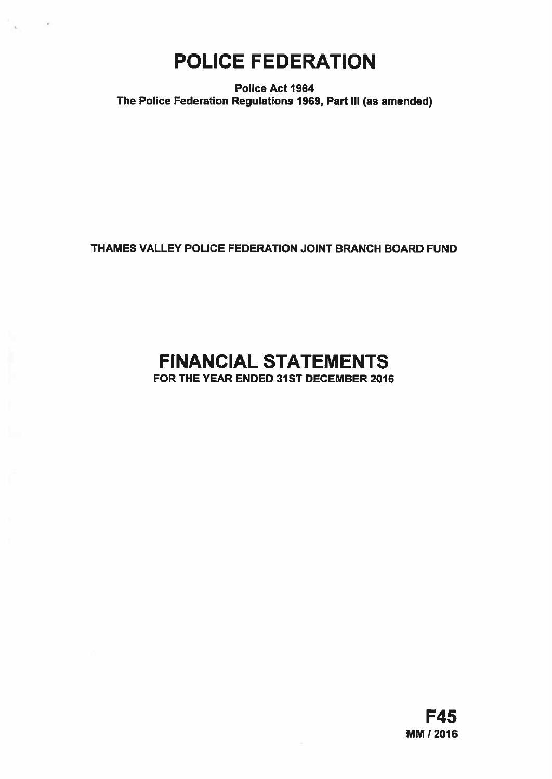# POLICE FEDERATION

Police Act 1964 The Police Federation Regulations 1969, Part Ill (as amended)

## THAMES VALLEY POLICE FEDERATION JOINT BRANCH BOARD FUND

## FINANCIAL STATEMENTS FOR THE YEAR ENDED 31ST DECEMBER 2016

F45 MM! 2016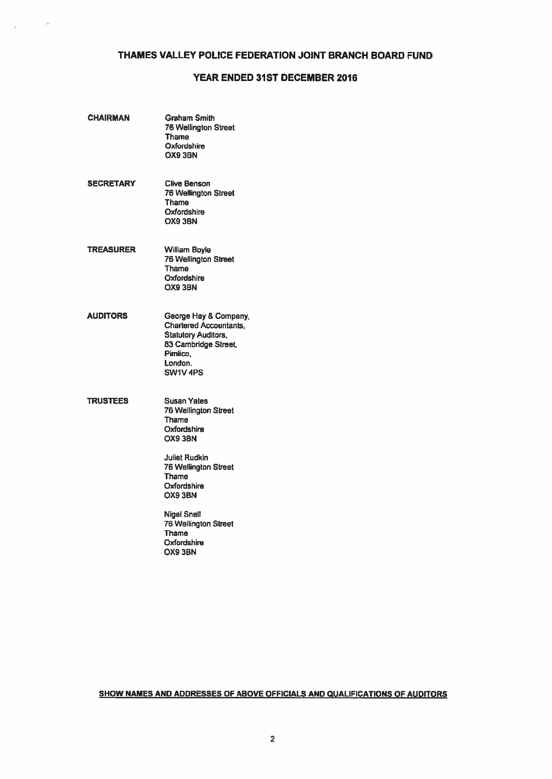## THAMES VALLEY POLICE FEDERATION JOINT BRANCH BOARD FUND

## YEAR ENDED 31ST DECEMBER 2016

| <b>CHAIRMAN</b>  | <b>Graham Smith</b><br><b>76 Wellington Street</b><br><b>Thame</b><br>Oxfordshire<br>OX9 3BN                                                    |
|------------------|-------------------------------------------------------------------------------------------------------------------------------------------------|
| <b>SECRETARY</b> | Clive Benson<br><b>76 Wellington Street</b><br><b>Thame</b><br>Oxfordshire<br>OX9 3BN                                                           |
| <b>TREASURER</b> | William Boyle<br>76 Wellington Street<br>Thame<br><b>Oxfordshire</b><br>OX9 3BN                                                                 |
| <b>AUDITORS</b>  | George Hay & Company,<br><b>Chartered Accountants,</b><br><b>Statutory Auditors,</b><br>83 Cambridge Street,<br>Pimlico,<br>London.<br>SW1V 4PS |
| <b>TRUSTEES</b>  | <b>Susan Yates</b><br>76 Wellington Street<br>Thame<br>Oxfordshire<br>OX9 3BN                                                                   |
|                  | <b>Juliet Rudkin</b><br><b>76 Wellington Street</b><br>Thame<br>Oxfordshire<br>OX9 3BN                                                          |
|                  | <b>Nigel Snell</b><br>76 Wellington Street<br>Thame<br>Oxfordshire<br>OX9 3BN                                                                   |

 $\sim$ 

۰.

## SHOW NAMES AND ADDRESSES OF ABOVE OFFICIALS AND QUALIFICATIONS OF AUDITORS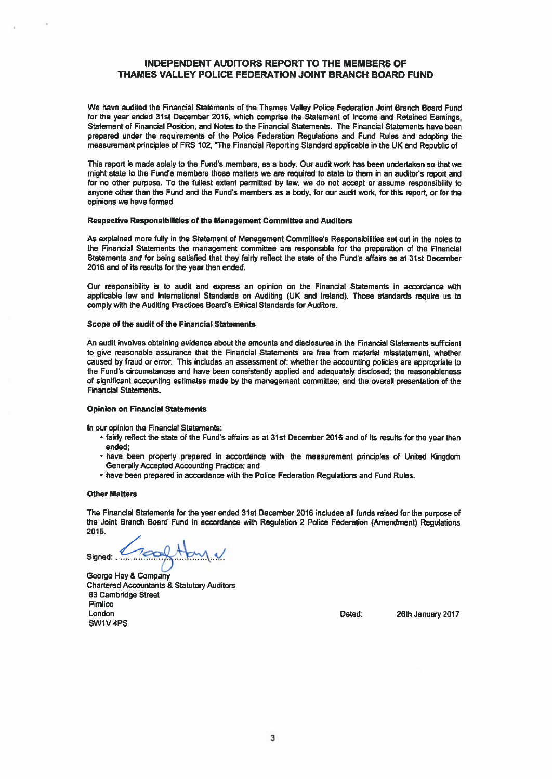## INDEPENDENT AUDITORS REPORT TO THE MEMBERS OF THAMES VALLEY POLICE FEDERATION JOINT BRANCH BOARD FUND

We have audited the Financial Statements of the Thames Valley Police Federation Joint Branch Board Fund for the year ended 31st December 2016, which comprise the Statement of Income and Retained Earnings, Statement of Financial Position, and Notes to the Financial Statements. The Financial Statements have been prepared under the requirements of the Police Federation Regulations and Fund Rules and adopting the measurement principles of FRS 102, 'The Financial Reporting Standard applicable in the UK and Republic of

This repor<sup>t</sup> is made solely to the Fund's members, as <sup>a</sup> body. Our audit work has been undertaken so that we might state to the Fund's members those matters we are required to state to them in an auditor's report and for no other purpose. To the fullest extent permitted by law, we do not accep<sup>t</sup> or assume responsibility to anyone other than the Fund and the Fund's members as <sup>a</sup> body, for our audit work, for this report, or for the opinions we have formed.

#### Respective Responsibilities of the Management Committee and Auditors

As explained more fully in the Statement of Management Committee's Responsibilities set out in the notes to the Financial Statements the managemen<sup>t</sup> committee are responsible for the preparation of the Financial Statements and for being satisfied that they fairly reflect the state of the Fund's affairs as at 31st December 2016 and of its results for the year then ended.

Our responsibility is to audit and express an opinion on the Financial Statements in accordance wIth applicable law and International Standards on Auditing (UK and Ireland). Those standards require us to comply with the Auditing Practices Board's Ethical Standards for Auditors.

#### Scope of the audit of the Financial Statements

An audit involves obtaining evidence about the amounts and disclosures in the Financial Statements sufficient to give reasonable assurance that the Financial Statements are free from material misstatement, whether caused by fraud or error. This includes an assessment of: whether the accounting policies are appropriate to the Fund's circumstances and have been consistently applied and adequately disclosed: the reasonableness of significant accounting estimates made by the managemen<sup>t</sup> committee; and the overall presentation of the Financial Statements.

#### Opinion on Financial Statements

In our opinion the Financial Statements:

- fairly reflect the state of the Fund's affairs as at 31st December 2016 and of its results for the year then ended;
- have been properly prepared in accordance with the measurement principles of United Kingdom Generally Accepted Accounting Practice; and
- have been prepared in accordance with the Police Federation Regulations and Fund Rules.

#### Other Matters

The Financial Statements for the year ended 31st December <sup>2016</sup> includes all funds raised for the purpose of the Joint Branch Board Fund in accordance with Regulation <sup>2</sup> Police Federation (Amendment) Regulations 2015.

Signed: ..

George Hay & Company Chartered Accountants & Statutory Auditors 83 Cambridge Street Pimlico London Dated: 26th January 2017 SW1V 4PS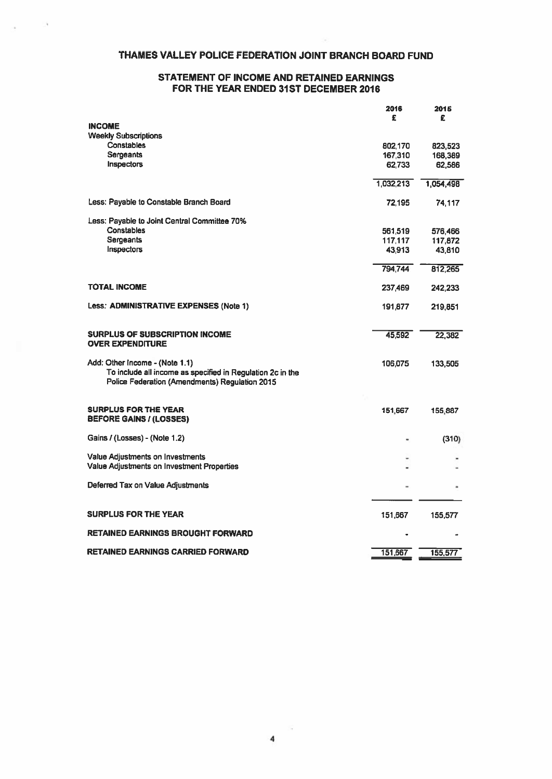## THAMES VALLEY POLICE FEDERATION JOINT BRANCH BOARD FUND

## STATEMENT OF INCOME AND RETAINED EARNINGS FOR THE YEAR ENDED 31ST DECEMBER 2016

|                                                            | 2016<br>£         | 2015<br>£         |
|------------------------------------------------------------|-------------------|-------------------|
| <b>INCOME</b>                                              |                   |                   |
| <b>Weekly Subscriptions</b>                                |                   |                   |
| Constables<br><b>Sergeants</b>                             | 802,170           | 823,523           |
| Inspectors                                                 | 167,310<br>62,733 | 168,389<br>62,586 |
|                                                            |                   |                   |
|                                                            | 1,032,213         | 1,054,498         |
| Less: Payable to Constable Branch Board                    | 72.195            | 74,117            |
| Less: Payable to Joint Central Committee 70%               |                   |                   |
| <b>Constables</b>                                          | 561,519           | 576,466           |
| <b>Sergeants</b>                                           | 117.117           | 117,872           |
| Inspectors                                                 | 43,913            | 43,810            |
|                                                            | 794,744           | 812,265           |
| <b>TOTAL INCOME</b>                                        | 237,469           | 242,233           |
| Less: ADMINISTRATIVE EXPENSES (Note 1)                     | 191,877           | 219,851           |
|                                                            |                   |                   |
| SURPLUS OF SUBSCRIPTION INCOME<br><b>OVER EXPENDITURE</b>  | 45,592            | 22,382            |
|                                                            |                   |                   |
| Add: Other Income - (Note 1.1)                             | 106,075           | 133,505           |
| To include all income as specified in Regulation 2c in the |                   |                   |
| Police Federation (Amendments) Regulation 2015             |                   |                   |
| <b>SURPLUS FOR THE YEAR</b>                                | 151,667           |                   |
| <b>BEFORE GAINS / (LOSSES)</b>                             |                   | 155,887           |
| Gains / (Losses) - (Note 1.2)                              |                   | (310)             |
| Value Adjustments on Investments                           |                   |                   |
| Value Adjustments on Investment Properties                 |                   |                   |
| Deferred Tax on Value Adjustments                          |                   |                   |
|                                                            |                   |                   |
| <b>SURPLUS FOR THE YEAR</b>                                | 151,667           | 155,577           |
| <b>RETAINED EARNINGS BROUGHT FORWARD</b>                   |                   |                   |
| <b>RETAINED EARNINGS CARRIED FORWARD</b>                   | 151,667           | 155,577           |
|                                                            |                   |                   |

清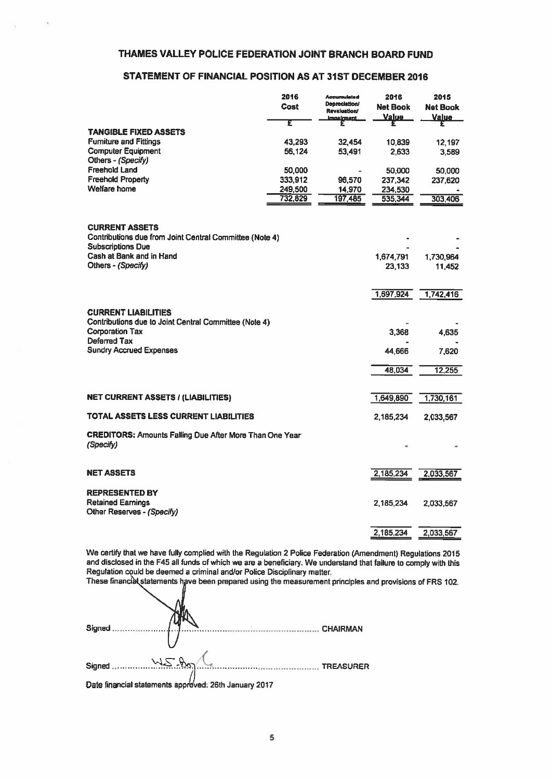## THAMES VALLEY POLICE FEDERATION JOINT BRANCH BOARD FUND

## STATEMENT OF FINANCIAL POSITION AS AT 31ST DECEMBER 2016

|                                                                                                              | 2016<br>Cost<br>£ | <b>Accumulated</b><br><b>Depreciation/</b><br><b>Revaluation/</b><br>Impairment | 2016<br><b>Net Book</b><br><u>Value</u> | 2015<br><b>Net Book</b><br><b>Value</b> |
|--------------------------------------------------------------------------------------------------------------|-------------------|---------------------------------------------------------------------------------|-----------------------------------------|-----------------------------------------|
| <b>TANGIBLE FIXED ASSETS</b>                                                                                 |                   |                                                                                 |                                         |                                         |
| <b>Furniture and Fittings</b>                                                                                | 43,293            | 32,454                                                                          | 10,839                                  | 12,197                                  |
| <b>Computer Equipment</b><br>Others - (Specify)                                                              | 56,124            | 53,491                                                                          | 2.633                                   | 3.589                                   |
| <b>Freehold Land</b>                                                                                         | 50,000            |                                                                                 | 50,000                                  | 50,000                                  |
| <b>Freehold Property</b>                                                                                     | 333,912           | 96,570                                                                          | 237,342                                 | 237,620                                 |
| Welfare home                                                                                                 | 249,500           | 14,970                                                                          | 234,530                                 |                                         |
|                                                                                                              | 732,829           | 197.485                                                                         | 535,344                                 | 303,406                                 |
| <b>CURRENT ASSETS</b><br>Contributions due from Joint Central Committee (Note 4)<br><b>Subscriptions Due</b> |                   |                                                                                 |                                         |                                         |
| Cash at Bank and in Hand                                                                                     |                   |                                                                                 | 1,674.791                               | 1,730,964                               |
| Others - (Specify)                                                                                           |                   |                                                                                 | 23 133                                  | 11,452                                  |
| <b>CURRENT LIABILITIES</b>                                                                                   |                   |                                                                                 | 1,697,924                               | 1,742,416                               |
| Contributions due to Joint Central Committee (Note 4)<br><b>Corporation Tax</b><br>Deferred Tax              |                   |                                                                                 | 3,368                                   | 4,635                                   |
| <b>Sundry Accrued Expenses</b>                                                                               |                   |                                                                                 | 44,666                                  | 7,620                                   |
|                                                                                                              |                   |                                                                                 | 48,034                                  | 12,255                                  |
| <b>NET CURRENT ASSETS / (LIABILITIES)</b>                                                                    |                   |                                                                                 | 1,649,890                               | 1,730,161                               |
| TOTAL ASSETS LESS CURRENT LIABILITIES                                                                        |                   |                                                                                 | 2.185,234                               | 2,033,567                               |
| <b>CREDITORS: Amounts Falling Due After More Than One Year</b><br>(Specify)                                  |                   |                                                                                 |                                         |                                         |
| <b>NET ASSETS</b>                                                                                            |                   |                                                                                 | 2,185,234                               | 2,033,567                               |
| <b>REPRESENTED BY</b><br><b>Retained Earnings</b><br>Other Reserves - (Specify)                              |                   |                                                                                 | 2,185,234                               | 2,033,567                               |
|                                                                                                              |                   |                                                                                 | 2,185,234                               | 2,033,567                               |

We certify that we have fully complied with the Regulation <sup>2</sup> Police Federation (Amendment) Regulations <sup>2015</sup> and disclosed in the F45 all funds of which we are <sup>a</sup> beneficiary. We understand that failure to comply with this Regulation could be deemed <sup>a</sup> criminal andlor Police Disciplinary matter.

These financial statements have been prepared using the measurement principles and provisions of FRS 102.

| Signed      |            | <b>CHAIRMAN</b>  |
|-------------|------------|------------------|
|             |            |                  |
| Signed<br>. | WS-Dr<br>. | <b>TREASURER</b> |

Date financial statements approved: 26th January 2017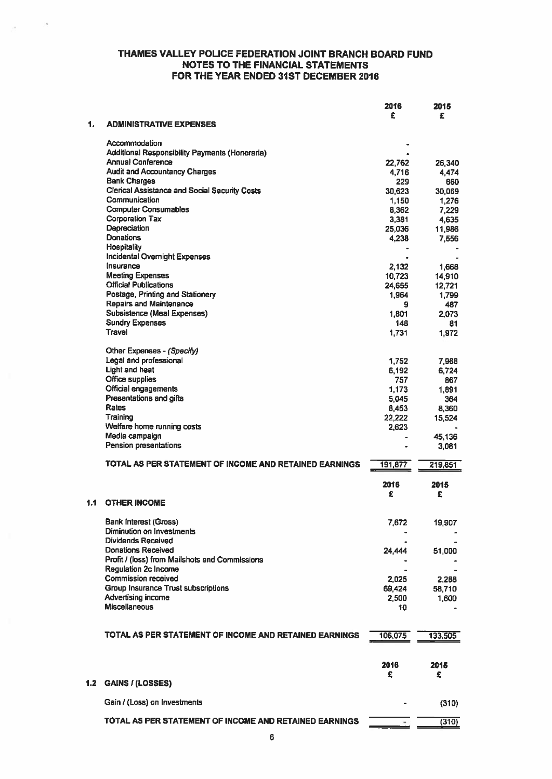|     |                                                                             | 2016            | 2015         |
|-----|-----------------------------------------------------------------------------|-----------------|--------------|
| 1.  | <b>ADMINISTRATIVE EXPENSES</b>                                              | £               | £            |
|     |                                                                             |                 |              |
|     | Accommodation                                                               |                 |              |
|     | Additional Responsibility Payments (Honoraria)                              |                 |              |
|     | <b>Annual Conference</b><br><b>Audit and Accountancy Charges</b>            | 22,762          | 26,340       |
|     | <b>Bank Charges</b>                                                         | 4,716<br>229    | 4,474<br>660 |
|     | <b>Clerical Assistance and Social Security Costs</b>                        | 30.623          | 30,069       |
|     | Communication                                                               | 1.150           | 1.276        |
|     | <b>Computer Consumables</b>                                                 | 8.362           | 7,229        |
|     | <b>Corporation Tax</b>                                                      | 3,381           | 4,635        |
|     | Depreciation                                                                | 25,036          | 11,986       |
|     | <b>Donations</b>                                                            | 4,238           | 7,556        |
|     | <b>Hospitality</b><br><b>Incidental Overnight Expenses</b>                  |                 |              |
|     | Insurance                                                                   | 2,132           | 1.668        |
|     | <b>Meeting Expenses</b>                                                     | 10,723          | 14,910       |
|     | <b>Official Publications</b>                                                | 24,655          | 12,721       |
|     | Postage, Printing and Stationery                                            | 1.964           | 1,799        |
|     | <b>Repairs and Maintenance</b>                                              | 9               | 487          |
|     | <b>Subsistence (Meal Expenses)</b>                                          | 1,801           | 2,073        |
|     | <b>Sundry Expenses</b><br>Travel                                            | 148             | 81           |
|     |                                                                             | 1,731           | 1,972        |
|     | Other Expenses - (Specify)                                                  |                 |              |
|     | Legal and professional                                                      | 1,752           | 7,968        |
|     | Light and heat                                                              | 6,192           | 6,724        |
|     | Office supplies                                                             | 757             | 867          |
|     | Official engagements                                                        | 1,173           | 1,891        |
|     | Presentations and gifts<br>Rates                                            | 5.045           | 364          |
|     | Training                                                                    | 8,453<br>22,222 | 8,360        |
|     | Welfare home running costs                                                  | 2,623           | 15,524       |
|     | Media campaign                                                              |                 | 45,136       |
|     | Pension presentations                                                       |                 | 3,081        |
|     |                                                                             |                 |              |
|     | TOTAL AS PER STATEMENT OF INCOME AND RETAINED EARNINGS                      | 191,877         | 219,851      |
|     |                                                                             |                 |              |
|     |                                                                             | 2016<br>£       | 2015<br>£    |
| 1.1 | <b>OTHER INCOME</b>                                                         |                 |              |
|     |                                                                             |                 |              |
|     | <b>Bank Interest (Gross)</b>                                                | 7,672           | 19,907       |
|     | Diminution on Investments                                                   |                 |              |
|     | <b>Dividends Received</b>                                                   |                 |              |
|     | <b>Donations Received</b><br>Profit / (loss) from Mailshots and Commissions | 24,444          | 51,000       |
|     | <b>Regulation 2c Income</b>                                                 |                 |              |
|     | Commission received                                                         | 2,025           | 2,288        |
|     | <b>Group Insurance Trust subscriptions</b>                                  | 69,424          | 58,710       |
|     | Advertising income                                                          | 2,500           | 1,600        |
|     | Miscellaneous                                                               | 10              |              |
|     |                                                                             |                 |              |
|     | TOTAL AS PER STATEMENT OF INCOME AND RETAINED EARNINGS                      |                 |              |
|     |                                                                             | 106,075         | 133,505      |
|     |                                                                             |                 |              |
|     |                                                                             | 2016            | 2015         |
|     |                                                                             | £               | £            |
| 1.2 | <b>GAINS / (LOSSES)</b>                                                     |                 |              |
|     |                                                                             |                 |              |
|     | Gain / (Loss) on Investments                                                |                 | (310)        |
|     | TOTAL AS PER STATEMENT OF INCOME AND RETAINED EARNINGS                      |                 |              |
|     |                                                                             |                 | (310)        |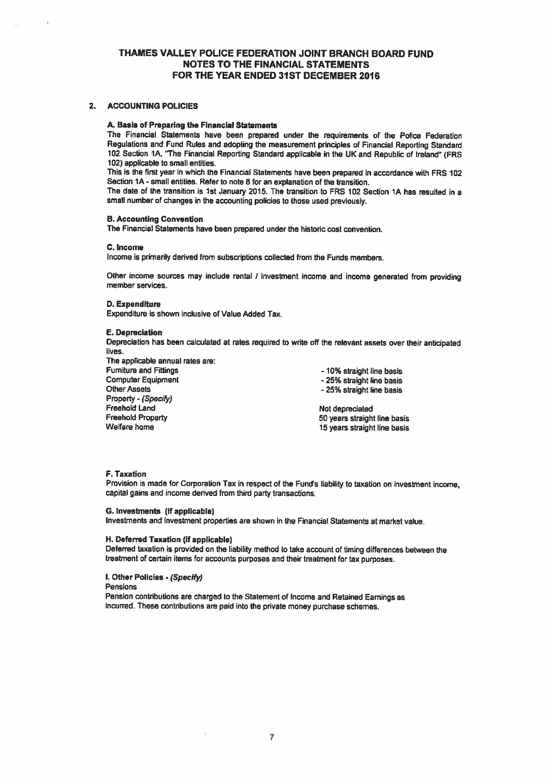#### 2. ACCOUNTING POLICIES

#### A. Basis of Preparing the Financial Statemen

The Financial Statements have been prepared under the requirements of the Police Federation Regulations and Fund Rules and adopting the measurement principles of Financial Reporting Standard <sup>102</sup> Section 1A, 'The Financial Reporting Standard applicable in the UK and Republic of Ireland' (FRS 102) applicable to small entities.

This is the first year in which the Financial Statements have been prepared in accordance with FRS 102 Section 1A -small entities. Refer to note 8 for an explanation of the transition.

The date of the transition is 1st January 2015. The transition to FRS 102 Section IA has resulted in <sup>a</sup> small number of changes in the accounting policies to those used previously.

## B. Accounting Convention

The Financial Statements have been prepared under the historic cost convention.

#### C. Income

Income is primarily derived from subscriptions collected from the Funds members.

Other income sources may include rental / investment income and income generated from providing member services.

#### 0. Expenditure

Expenditure is shown inclusive of Value Added Tax.

#### E. Depreciation

Property - (Specify)

Depreciation has been calculated at rates required to write off the relevant assets over their anticipated lives.

The applicable annual rates are: Furniture and Fittings<br>
Computer Equipment<br>
Computer Equipment<br>
1999 - 25% straight line basis Other Assets

- 25% straight line basis - 25% straight line basis

Freehold Land Not depreciated Freehold Property **Freehold Property 50 years straight line basis** Velfare home **SO** years straight line basis 15 years straight line basis

#### F. Taxation

Provision is made for Corporation Tax in respect of the Fund's liability to taxation on investment income. capital gains and income derived from third party transactions.

## G. Investments (if applicable)

Investments and investment properties are shown in the Financial Statements at market value.

#### H. Deferred Taxation (if applicable)

Deferred taxation is provided on the liability method to take account of timing differences between the treatment of certain items for accounts purposes and their treatment for tax purposes.

#### I. Other Policies . (Specify)

Pensions

Pension contributions are charged to the Statement of Income and Retained Earnings as incurred. These contributions are paid into the private money purchase schemes.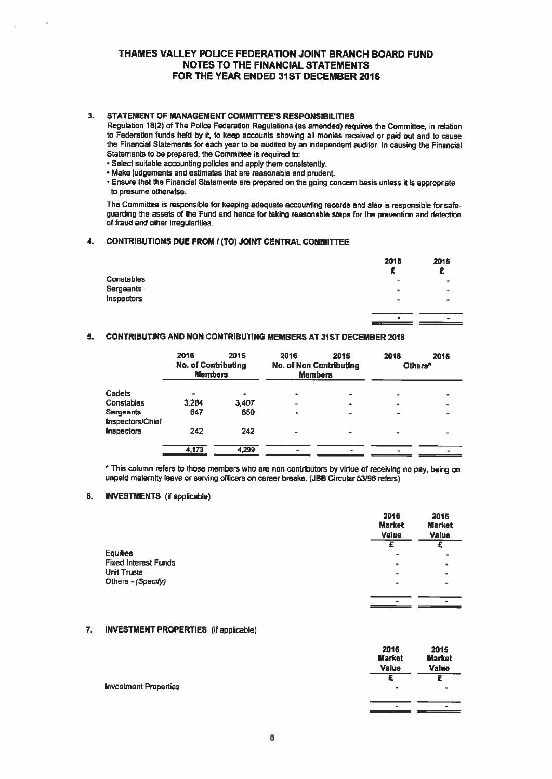## 3. STATEMENT OF MANAGEMENT COMMITTEE'S RESPONSIBILITIES

Regulation 18(2) of The Police Federation Regulations (as amended) requires the Committee, in relation to Federation funds held by it, to keep accounts showing all monies received or paid out and to cause the Financial Statements for each year to be audited by an independent auditor. In causing the Financial Statements to be prepared, the Committee is required to:

- Select suitable accounting policies and apply them consistently.
- Make judgements and estimates that are reasonable and prudent.
- Ensure that the Financial Statements are prepare<sup>d</sup> on the going concern basis unless it is appropriate to presume otherwise.

The Committee is responsible for keeping adequate accounting records and also is responsible for safe guarding the assets of the Fund and hence for taking reasonable steps for the prevention and detection of fraud and other irregularities.

## 4. CONTRIBUTIONS DUE FROM / (TO) JOINT CENTRAL COMMITTEE

|                   | 2016 | 2015   |
|-------------------|------|--------|
|                   | £    |        |
| <b>Constables</b> | ۰    | ٠      |
| Sergeants         | ٠    | $\sim$ |
| Inspectors        | ٠    |        |
|                   |      |        |

## 5. CONTRIBUTING AND NON CONTRIBUTING MEMBERS AT 31ST DECEMBER 2016

|                               | 2016<br><b>No. of Contributing</b><br><b>Members</b> | 2015  | 2016<br><b>No. of Non Contributing</b><br><b>Members</b> | 2015 | 2016<br>Others <sup>*</sup> | 2015      |
|-------------------------------|------------------------------------------------------|-------|----------------------------------------------------------|------|-----------------------------|-----------|
| Cadets                        |                                                      |       | ۰                                                        |      |                             | $\bullet$ |
| Constables                    | 3,284                                                | 3,407 | ۷                                                        |      |                             | ۰         |
| Sergeants<br>Inspectors/Chief | 647                                                  | 650   |                                                          |      |                             |           |
| Inspectors                    | 242                                                  | 242   |                                                          | -    |                             |           |
|                               | 4,173                                                | 4,299 |                                                          |      |                             |           |

This column refers to those members who are non contributors by virtue of receiving no pay, being on unpaid maternity leave or serving officers on career breaks. (JBB Circular 53/96 refers)

#### 6. INVESTMENTS (if applicable)

|                             | 2016<br><b>Market</b><br><b>Value</b> | 2015<br><b>Market</b><br><b>Value</b> |
|-----------------------------|---------------------------------------|---------------------------------------|
|                             |                                       |                                       |
| <b>Equities</b>             | $\blacksquare$                        |                                       |
| <b>Fixed Interest Funds</b> | ٠                                     | $\omega$                              |
| <b>Unit Trusts</b>          | ٠                                     | ٠                                     |
| Others - (Specify)          | ٠                                     |                                       |
|                             |                                       |                                       |
|                             | ۰                                     |                                       |

## 7. INVESTMENT PROPERTIES (if applicable)

|                              | 2016<br><b>Market</b><br><b>Value</b> | 2015<br><b>Market</b><br><b>Value</b> |
|------------------------------|---------------------------------------|---------------------------------------|
| <b>Investment Properties</b> | ۰                                     |                                       |
|                              | $\overline{a}$                        |                                       |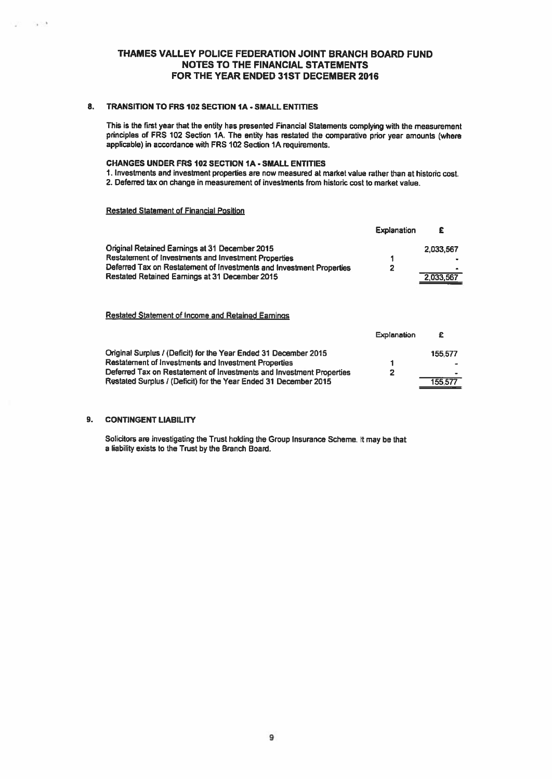## 8. TRANSITION TO FRS 102 SECTION 1A - SMALL ENTITIES

This is the first year that the entity has presented Financial Statements complying with the measurement principles of FRS 102 Section 1A. The entity has restated the comparative prior year amounts (where applicable) in accordance with FRS 102 Section 1A requirements.

## CHANGES UNDER FRS 102 SECTiON IA - SMALL ENTITIES

- 1. Investments and investment properties are now measured at market value rather than at historic cost.
- 2. Deferred tax on change in measurement of investments from historic cost to market value.

## Restated Statement of Financial Position

|                                                                      | <b>Explanation</b> |                |
|----------------------------------------------------------------------|--------------------|----------------|
| Original Retained Earnings at 31 December 2015                       |                    | 2.033.567      |
| Restatement of Investments and Investment Properties                 |                    |                |
| Deferred Tax on Restatement of Investments and Investment Properties | $\overline{2}$     | $\blacksquare$ |
| Restated Retained Earnings at 31 December 2015                       |                    | 2,033,567      |
|                                                                      |                    |                |

## Restated Statement of Income and Retained Earnings

|                                                                      | explanation |         |
|----------------------------------------------------------------------|-------------|---------|
| Original Surplus / (Deficit) for the Year Ended 31 December 2015     |             | 155.577 |
| Restatement of Investments and Investment Properties                 |             |         |
| Deferred Tax on Restatement of Investments and Investment Properties | 2           |         |
| Restated Surplus / (Deficit) for the Year Ended 31 December 2015     |             | 155,577 |

 $E = E \cdot E =$ 

## 9. CONTINGENT LIABILITY

Solicitors are investigating the Trust holding the Group Insurance Scheme. It may be that <sup>a</sup> liability exists to the Trust by the Branch Board.